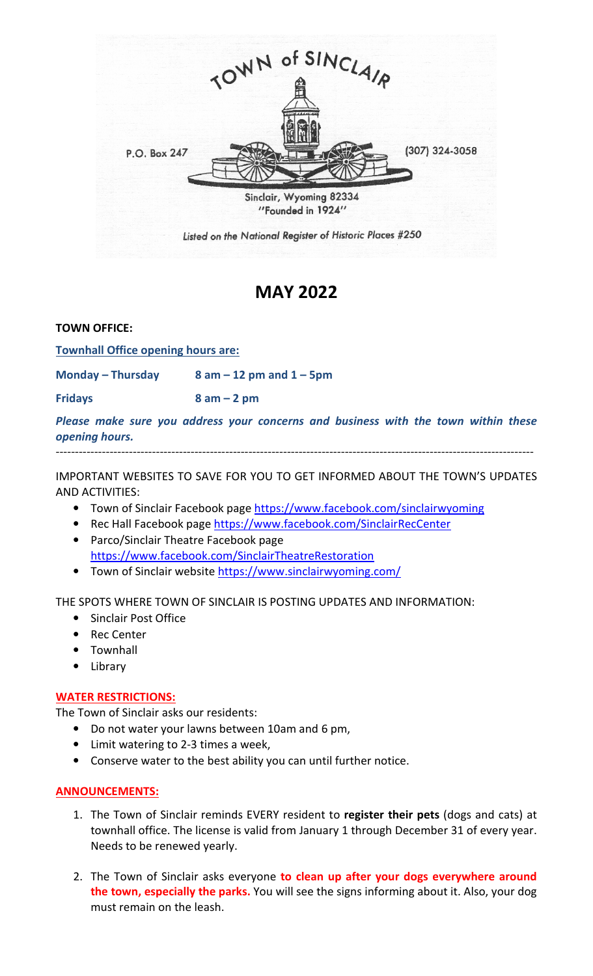

# **MAY 2022**

**TOWN OFFICE:** 

**Townhall Office opening hours are:** 

**Monday – Thursday 8 am – 12 pm and 1 – 5pm** 

**Fridays 8 am – 2 pm** 

*Please make sure you address your concerns and business with the town within these opening hours.* 

----------------------------------------------------------------------------------------------------------------------------

IMPORTANT WEBSITES TO SAVE FOR YOU TO GET INFORMED ABOUT THE TOWN'S UPDATES AND ACTIVITIES:

- Town of Sinclair Facebook page https://www.facebook.com/sinclairwyoming
- Rec Hall Facebook page https://www.facebook.com/SinclairRecCenter
- Parco/Sinclair Theatre Facebook page https://www.facebook.com/SinclairTheatreRestoration
- Town of Sinclair website https://www.sinclairwyoming.com/

THE SPOTS WHERE TOWN OF SINCLAIR IS POSTING UPDATES AND INFORMATION:

- Sinclair Post Office
- Rec Center
- Townhall
- Library

### **WATER RESTRICTIONS:**

The Town of Sinclair asks our residents:

- Do not water your lawns between 10am and 6 pm,
- Limit watering to 2-3 times a week,
- Conserve water to the best ability you can until further notice.

# **ANNOUNCEMENTS:**

- 1. The Town of Sinclair reminds EVERY resident to **register their pets** (dogs and cats) at townhall office. The license is valid from January 1 through December 31 of every year. Needs to be renewed yearly.
- 2. The Town of Sinclair asks everyone **to clean up after your dogs everywhere around the town, especially the parks.** You will see the signs informing about it. Also, your dog must remain on the leash.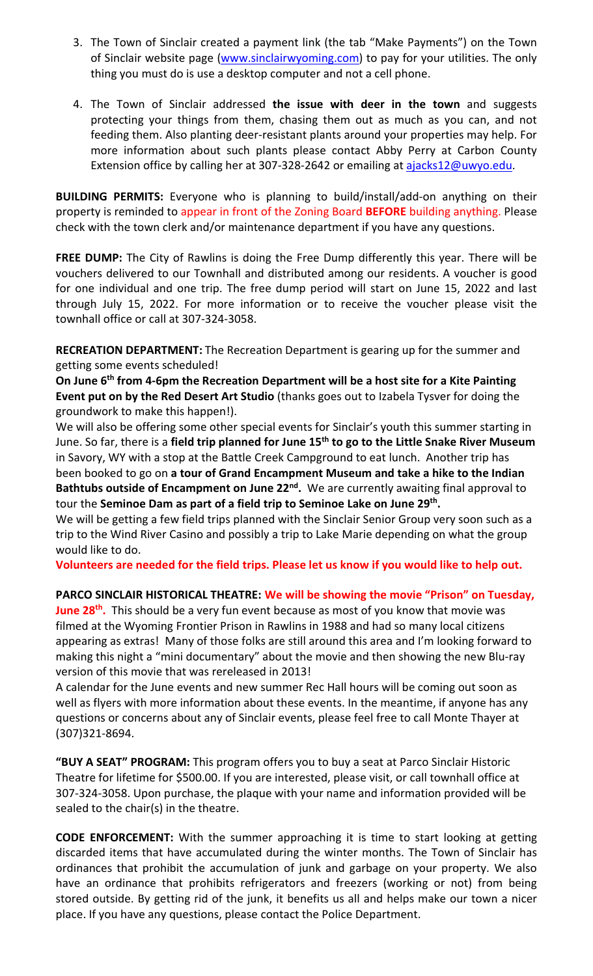- 3. The Town of Sinclair created a payment link (the tab "Make Payments") on the Town of Sinclair website page (www.sinclairwyoming.com) to pay for your utilities. The only thing you must do is use a desktop computer and not a cell phone.
- 4. The Town of Sinclair addressed **the issue with deer in the town** and suggests protecting your things from them, chasing them out as much as you can, and not feeding them. Also planting deer-resistant plants around your properties may help. For more information about such plants please contact Abby Perry at Carbon County Extension office by calling her at 307-328-2642 or emailing at ajacks12@uwyo.edu.

**BUILDING PERMITS:** Everyone who is planning to build/install/add-on anything on their property is reminded to appear in front of the Zoning Board **BEFORE** building anything. Please check with the town clerk and/or maintenance department if you have any questions.

**FREE DUMP:** The City of Rawlins is doing the Free Dump differently this year. There will be vouchers delivered to our Townhall and distributed among our residents. A voucher is good for one individual and one trip. The free dump period will start on June 15, 2022 and last through July 15, 2022. For more information or to receive the voucher please visit the townhall office or call at 307-324-3058.

**RECREATION DEPARTMENT:** The Recreation Department is gearing up for the summer and getting some events scheduled!

**On June 6th from 4-6pm the Recreation Department will be a host site for a Kite Painting Event put on by the Red Desert Art Studio** (thanks goes out to Izabela Tysver for doing the groundwork to make this happen!).

We will also be offering some other special events for Sinclair's youth this summer starting in June. So far, there is a **field trip planned for June 15th to go to the Little Snake River Museum** in Savory, WY with a stop at the Battle Creek Campground to eat lunch. Another trip has been booked to go on **a tour of Grand Encampment Museum and take a hike to the Indian Bathtubs outside of Encampment on June 22nd .** We are currently awaiting final approval to tour the **Seminoe Dam as part of a field trip to Seminoe Lake on June 29th .**

We will be getting a few field trips planned with the Sinclair Senior Group very soon such as a trip to the Wind River Casino and possibly a trip to Lake Marie depending on what the group would like to do.

**Volunteers are needed for the field trips. Please let us know if you would like to help out.** 

### **PARCO SINCLAIR HISTORICAL THEATRE: We will be showing the movie "Prison" on Tuesday,**

**June 28th .** This should be a very fun event because as most of you know that movie was filmed at the Wyoming Frontier Prison in Rawlins in 1988 and had so many local citizens appearing as extras! Many of those folks are still around this area and I'm looking forward to making this night a "mini documentary" about the movie and then showing the new Blu-ray version of this movie that was rereleased in 2013!

A calendar for the June events and new summer Rec Hall hours will be coming out soon as well as flyers with more information about these events. In the meantime, if anyone has any questions or concerns about any of Sinclair events, please feel free to call Monte Thayer at (307)321-8694.

**"BUY A SEAT" PROGRAM:** This program offers you to buy a seat at Parco Sinclair Historic Theatre for lifetime for \$500.00. If you are interested, please visit, or call townhall office at 307-324-3058. Upon purchase, the plaque with your name and information provided will be sealed to the chair(s) in the theatre.

**CODE ENFORCEMENT:** With the summer approaching it is time to start looking at getting discarded items that have accumulated during the winter months. The Town of Sinclair has ordinances that prohibit the accumulation of junk and garbage on your property. We also have an ordinance that prohibits refrigerators and freezers (working or not) from being stored outside. By getting rid of the junk, it benefits us all and helps make our town a nicer place. If you have any questions, please contact the Police Department.